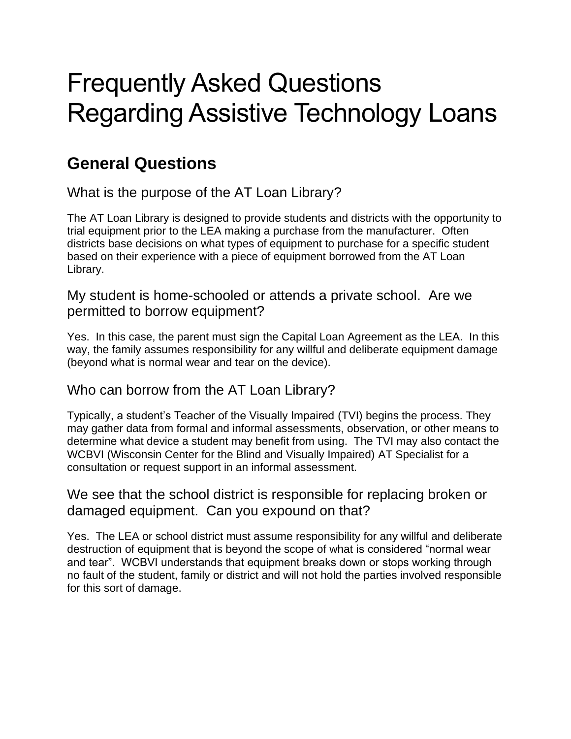# Frequently Asked Questions Regarding Assistive Technology Loans

## **General Questions**

What is the purpose of the AT Loan Library?

The AT Loan Library is designed to provide students and districts with the opportunity to trial equipment prior to the LEA making a purchase from the manufacturer. Often districts base decisions on what types of equipment to purchase for a specific student based on their experience with a piece of equipment borrowed from the AT Loan Library.

My student is home-schooled or attends a private school. Are we permitted to borrow equipment?

Yes. In this case, the parent must sign the Capital Loan Agreement as the LEA. In this way, the family assumes responsibility for any willful and deliberate equipment damage (beyond what is normal wear and tear on the device).

#### Who can borrow from the AT Loan Library?

Typically, a student's Teacher of the Visually Impaired (TVI) begins the process. They may gather data from formal and informal assessments, observation, or other means to determine what device a student may benefit from using. The TVI may also contact the WCBVI (Wisconsin Center for the Blind and Visually Impaired) AT Specialist for a consultation or request support in an informal assessment.

#### We see that the school district is responsible for replacing broken or damaged equipment. Can you expound on that?

Yes. The LEA or school district must assume responsibility for any willful and deliberate destruction of equipment that is beyond the scope of what is considered "normal wear and tear". WCBVI understands that equipment breaks down or stops working through no fault of the student, family or district and will not hold the parties involved responsible for this sort of damage.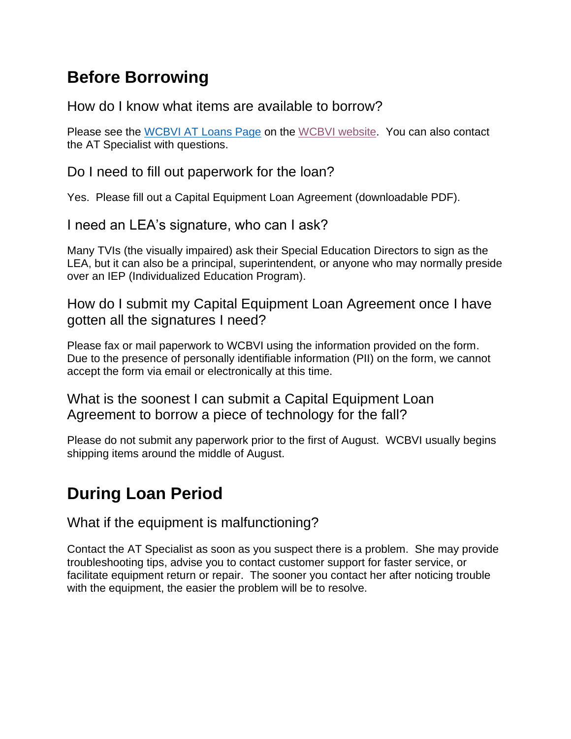## **Before Borrowing**

How do I know what items are available to borrow?

Please see the WCBVI [AT Loans Page](https://www.wcbvi.k12.wi.us/outreach/at-loans/) on the [WCBVI website.](https://www.wcbvi.k12.wi.us/) You can also contact the AT Specialist with questions.

Do I need to fill out paperwork for the loan?

Yes. Please fill out a [Capital Equipment Loan Agreement](https://www.wcbvi.k12.wi.us/wp-content/uploads/2021/03/Capital-Equipment-Loan-Agreement-Form-08-2020.docx.pdf) (downloadable PDF).

I need an LEA's signature, who can I ask?

Many TVIs (the visually impaired) ask their Special Education Directors to sign as the LEA, but it can also be a principal, superintendent, or anyone who may normally preside over an IEP (Individualized Education Program).

How do I submit my Capital Equipment Loan Agreement once I have gotten all the signatures I need?

Please fax or mail paperwork to WCBVI using the information provided on the form. Due to the presence of personally identifiable information (PII) on the form, we cannot accept the form via email or electronically at this time.

What is the soonest I can submit a Capital Equipment Loan Agreement to borrow a piece of technology for the fall?

Please do not submit any paperwork prior to the first of August. WCBVI usually begins shipping items around the middle of August.

## **During Loan Period**

What if the equipment is malfunctioning?

Contact the AT Specialist as soon as you suspect there is a problem. She may provide troubleshooting tips, advise you to contact customer support for faster service, or facilitate equipment return or repair. The sooner you contact her after noticing trouble with the equipment, the easier the problem will be to resolve.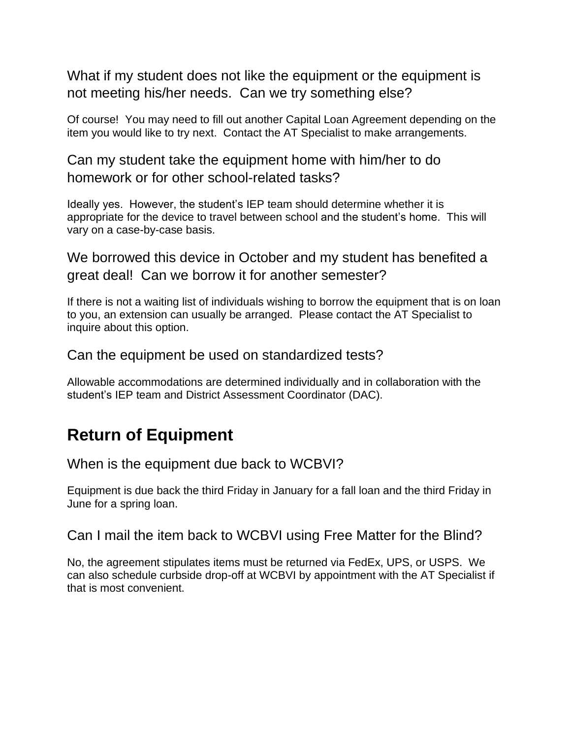What if my student does not like the equipment or the equipment is not meeting his/her needs. Can we try something else?

Of course! You may need to fill out another Capital Loan Agreement depending on the item you would like to try next. Contact the AT Specialist to make arrangements.

Can my student take the equipment home with him/her to do homework or for other school-related tasks?

Ideally yes. However, the student's IEP team should determine whether it is appropriate for the device to travel between school and the student's home. This will vary on a case-by-case basis.

We borrowed this device in October and my student has benefited a great deal! Can we borrow it for another semester?

If there is not a waiting list of individuals wishing to borrow the equipment that is on loan to you, an extension can usually be arranged. Please contact the AT Specialist to inquire about this option.

Can the equipment be used on standardized tests?

Allowable accommodations are determined individually and in collaboration with the student's IEP team and District Assessment Coordinator (DAC).

#### **Return of Equipment**

When is the equipment due back to WCBVI?

Equipment is due back the third Friday in January for a fall loan and the third Friday in June for a spring loan.

Can I mail the item back to WCBVI using Free Matter for the Blind?

No, the agreement stipulates items must be returned via FedEx, UPS, or USPS. We can also schedule curbside drop-off at WCBVI by appointment with the AT Specialist if that is most convenient.